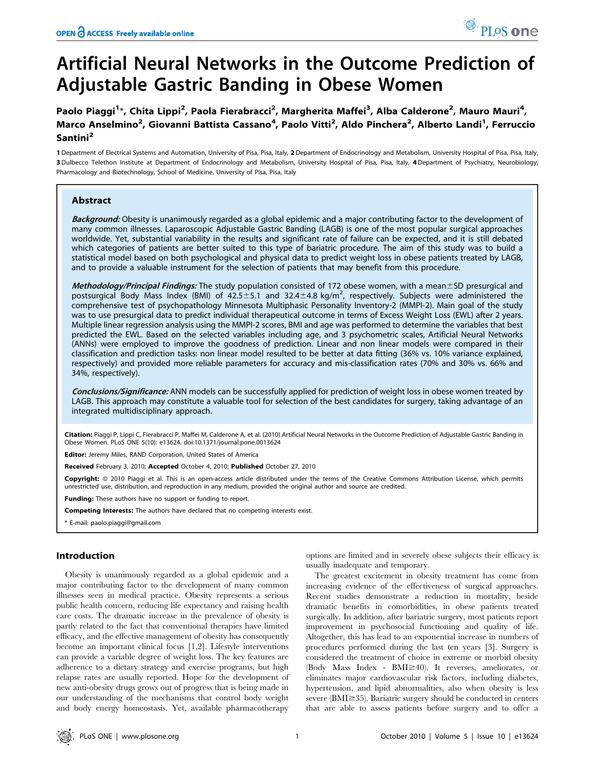# Artificial Neural Networks in the Outcome Prediction of Adjustable Gastric Banding in Obese Women

Paolo Piaggi<sup>1\*</sup>, Chita Lippi<sup>2</sup>, Paola Fierabracci<sup>2</sup>, Margherita Maffei<sup>3</sup>, Alba Calderone<sup>2</sup>, Mauro Mauri<sup>4</sup>, Marco Anselmino<sup>2</sup>, Giovanni Battista Cassano<sup>4</sup>, Paolo Vitti<sup>2</sup>, Aldo Pinchera<sup>2</sup>, Alberto Landi<sup>1</sup>, Ferruccio Santini<sup>2</sup>

1 Department of Electrical Systems and Automation, University of Pisa, Pisa, Italy, 2 Department of Endocrinology and Metabolism, University Hospital of Pisa, Pisa, Italy, 3 Dulbecco Telethon Institute at Department of Endocrinology and Metabolism, University Hospital of Pisa, Pisa, Italy, 4 Department of Psychiatry, Neurobiology, Pharmacology and Biotechnology, School of Medicine, University of Pisa, Pisa, Italy

# Abstract

Background: Obesity is unanimously regarded as a global epidemic and a major contributing factor to the development of many common illnesses. Laparoscopic Adjustable Gastric Banding (LAGB) is one of the most popular surgical approaches worldwide. Yet, substantial variability in the results and significant rate of failure can be expected, and it is still debated which categories of patients are better suited to this type of bariatric procedure. The aim of this study was to build a statistical model based on both psychological and physical data to predict weight loss in obese patients treated by LAGB, and to provide a valuable instrument for the selection of patients that may benefit from this procedure.

Methodology/Principal Findings: The study population consisted of 172 obese women, with a mean±SD presurgical and postsurgical Body Mass Index (BMI) of  $42.5 \pm 5.1$  and 32.4 $\pm$ 4.8 kg/m<sup>2</sup>, respectively. Subjects were administered the comprehensive test of psychopathology Minnesota Multiphasic Personality Inventory-2 (MMPI-2). Main goal of the study was to use presurgical data to predict individual therapeutical outcome in terms of Excess Weight Loss (EWL) after 2 years. Multiple linear regression analysis using the MMPI-2 scores, BMI and age was performed to determine the variables that best predicted the EWL. Based on the selected variables including age, and 3 psychometric scales, Artificial Neural Networks (ANNs) were employed to improve the goodness of prediction. Linear and non linear models were compared in their classification and prediction tasks: non linear model resulted to be better at data fitting (36% vs. 10% variance explained, respectively) and provided more reliable parameters for accuracy and mis-classification rates (70% and 30% vs. 66% and 34%, respectively).

Conclusions/Significance: ANN models can be successfully applied for prediction of weight loss in obese women treated by LAGB. This approach may constitute a valuable tool for selection of the best candidates for surgery, taking advantage of an integrated multidisciplinary approach.

Citation: Piaggi P, Lippi C, Fierabracci P, Maffei M, Calderone A, et al. (2010) Artificial Neural Networks in the Outcome Prediction of Adjustable Gastric Banding in Obese Women. PLoS ONE 5(10): e13624. doi:10.1371/journal.pone.0013624

Editor: Jeremy Miles, RAND Corporation, United States of America

Received February 3, 2010; Accepted October 4, 2010; Published October 27, 2010

**Copyright:** © 2010 Piaggi et al. This is an open-access article distributed under the terms of the Creative Commons Attribution License, which permits unrestricted use, distribution, and reproduction in any medium, provided the original author and source are credited.

Funding: These authors have no support or funding to report.

Competing Interests: The authors have declared that no competing interests exist.

\* E-mail: paolo.piaggi@gmail.com

# Introduction

Obesity is unanimously regarded as a global epidemic and a major contributing factor to the development of many common illnesses seen in medical practice. Obesity represents a serious public health concern, reducing life expectancy and raising health care costs. The dramatic increase in the prevalence of obesity is partly related to the fact that conventional therapies have limited efficacy, and the effective management of obesity has consequently become an important clinical focus [1,2]. Lifestyle interventions can provide a variable degree of weight loss. The key features are adherence to a dietary strategy and exercise programs, but high relapse rates are usually reported. Hope for the development of new anti-obesity drugs grows out of progress that is being made in our understanding of the mechanisms that control body weight and body energy homeostasis. Yet, available pharmacotherapy

options are limited and in severely obese subjects their efficacy is usually inadequate and temporary.

The greatest excitement in obesity treatment has come from increasing evidence of the effectiveness of surgical approaches. Recent studies demonstrate a reduction in mortality, beside dramatic benefits in comorbidities, in obese patients treated surgically. In addition, after bariatric surgery, most patients report improvement in psychosocial functioning and quality of life. Altogether, this has lead to an exponential increase in numbers of procedures performed during the last ten years [3]. Surgery is considered the treatment of choice in extreme or morbid obesity (Body Mass Index - BMI $\geq$ 40). It reverses, ameliorates, or eliminates major cardiovascular risk factors, including diabetes, hypertension, and lipid abnormalities, also when obesity is less severe ( $BMI \geq 35$ ). Bariatric surgery should be conducted in centers that are able to assess patients before surgery and to offer a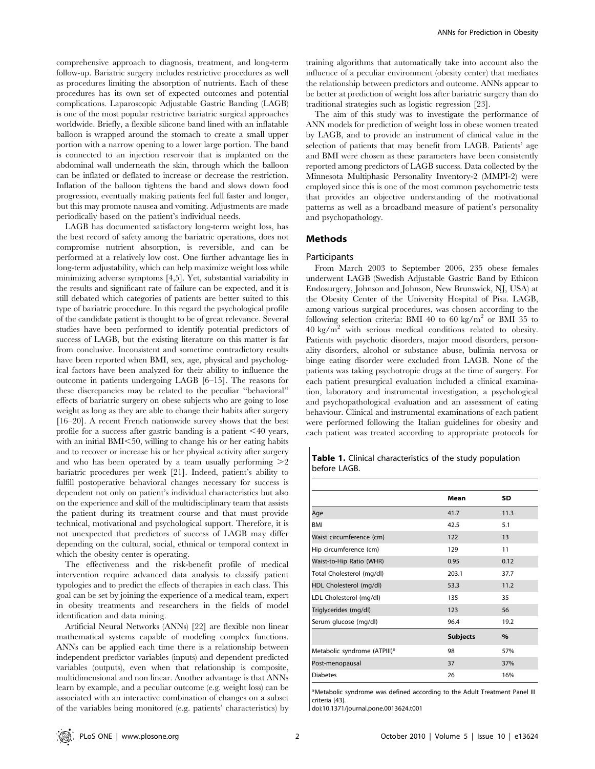comprehensive approach to diagnosis, treatment, and long-term follow-up. Bariatric surgery includes restrictive procedures as well as procedures limiting the absorption of nutrients. Each of these procedures has its own set of expected outcomes and potential complications. Laparoscopic Adjustable Gastric Banding (LAGB) is one of the most popular restrictive bariatric surgical approaches worldwide. Briefly, a flexible silicone band lined with an inflatable balloon is wrapped around the stomach to create a small upper portion with a narrow opening to a lower large portion. The band is connected to an injection reservoir that is implanted on the abdominal wall underneath the skin, through which the balloon can be inflated or deflated to increase or decrease the restriction. Inflation of the balloon tightens the band and slows down food progression, eventually making patients feel full faster and longer, but this may promote nausea and vomiting. Adjustments are made periodically based on the patient's individual needs.

LAGB has documented satisfactory long-term weight loss, has the best record of safety among the bariatric operations, does not compromise nutrient absorption, is reversible, and can be performed at a relatively low cost. One further advantage lies in long-term adjustability, which can help maximize weight loss while minimizing adverse symptoms [4,5]. Yet, substantial variability in the results and significant rate of failure can be expected, and it is still debated which categories of patients are better suited to this type of bariatric procedure. In this regard the psychological profile of the candidate patient is thought to be of great relevance. Several studies have been performed to identify potential predictors of success of LAGB, but the existing literature on this matter is far from conclusive. Inconsistent and sometime contradictory results have been reported when BMI, sex, age, physical and psychological factors have been analyzed for their ability to influence the outcome in patients undergoing LAGB [6–15]. The reasons for these discrepancies may be related to the peculiar ''behavioral'' effects of bariatric surgery on obese subjects who are going to lose weight as long as they are able to change their habits after surgery [16–20]. A recent French nationwide survey shows that the best profile for a success after gastric banding is a patient  $\leq 40$  years, with an initial  $BMI<50$ , willing to change his or her eating habits and to recover or increase his or her physical activity after surgery and who has been operated by a team usually performing  $\geq 2$ bariatric procedures per week [21]. Indeed, patient's ability to fulfill postoperative behavioral changes necessary for success is dependent not only on patient's individual characteristics but also on the experience and skill of the multidisciplinary team that assists the patient during its treatment course and that must provide technical, motivational and psychological support. Therefore, it is not unexpected that predictors of success of LAGB may differ depending on the cultural, social, ethnical or temporal context in which the obesity center is operating.

The effectiveness and the risk-benefit profile of medical intervention require advanced data analysis to classify patient typologies and to predict the effects of therapies in each class. This goal can be set by joining the experience of a medical team, expert in obesity treatments and researchers in the fields of model identification and data mining.

Artificial Neural Networks (ANNs) [22] are flexible non linear mathematical systems capable of modeling complex functions. ANNs can be applied each time there is a relationship between independent predictor variables (inputs) and dependent predicted variables (outputs), even when that relationship is composite, multidimensional and non linear. Another advantage is that ANNs learn by example, and a peculiar outcome (e.g. weight loss) can be associated with an interactive combination of changes on a subset of the variables being monitored (e.g. patients' characteristics) by

training algorithms that automatically take into account also the influence of a peculiar environment (obesity center) that mediates the relationship between predictors and outcome. ANNs appear to be better at prediction of weight loss after bariatric surgery than do traditional strategies such as logistic regression [23].

The aim of this study was to investigate the performance of ANN models for prediction of weight loss in obese women treated by LAGB, and to provide an instrument of clinical value in the selection of patients that may benefit from LAGB. Patients' age and BMI were chosen as these parameters have been consistently reported among predictors of LAGB success. Data collected by the Minnesota Multiphasic Personality Inventory-2 (MMPI-2) were employed since this is one of the most common psychometric tests that provides an objective understanding of the motivational patterns as well as a broadband measure of patient's personality and psychopathology.

# Methods

#### **Participants**

From March 2003 to September 2006, 235 obese females underwent LAGB (Swedish Adjustable Gastric Band by Ethicon Endosurgery, Johnson and Johnson, New Brunswick, NJ, USA) at the Obesity Center of the University Hospital of Pisa. LAGB, among various surgical procedures, was chosen according to the following selection criteria: BMI 40 to 60 kg/ $m<sup>2</sup>$  or BMI 35 to  $40 \text{ kg/m}^2$  with serious medical conditions related to obesity. Patients with psychotic disorders, major mood disorders, personality disorders, alcohol or substance abuse, bulimia nervosa or binge eating disorder were excluded from LAGB. None of the patients was taking psychotropic drugs at the time of surgery. For each patient presurgical evaluation included a clinical examination, laboratory and instrumental investigation, a psychological and psychopathological evaluation and an assessment of eating behaviour. Clinical and instrumental examinations of each patient were performed following the Italian guidelines for obesity and each patient was treated according to appropriate protocols for

Table 1. Clinical characteristics of the study population before LAGB.

|                              | Mean            | SD   |
|------------------------------|-----------------|------|
| Age                          | 41.7            | 11.3 |
| <b>BMI</b>                   | 42.5            | 5.1  |
| Waist circumference (cm)     | 122             | 13   |
| Hip circumference (cm)       | 129             | 11   |
| Waist-to-Hip Ratio (WHR)     | 0.95            | 0.12 |
| Total Cholesterol (mg/dl)    | 203.1           | 37.7 |
| HDL Cholesterol (mg/dl)      | 53.3            | 11.2 |
| LDL Cholesterol (mg/dl)      | 135             | 35   |
| Triglycerides (mg/dl)        | 123             | 56   |
| Serum glucose (mg/dl)        | 96.4            | 19.2 |
|                              | <b>Subjects</b> | $\%$ |
| Metabolic syndrome (ATPIII)* | 98              | 57%  |
| Post-menopausal              | 37              | 37%  |
| <b>Diabetes</b>              | 26              | 16%  |

\*Metabolic syndrome was defined according to the Adult Treatment Panel III criteria [43].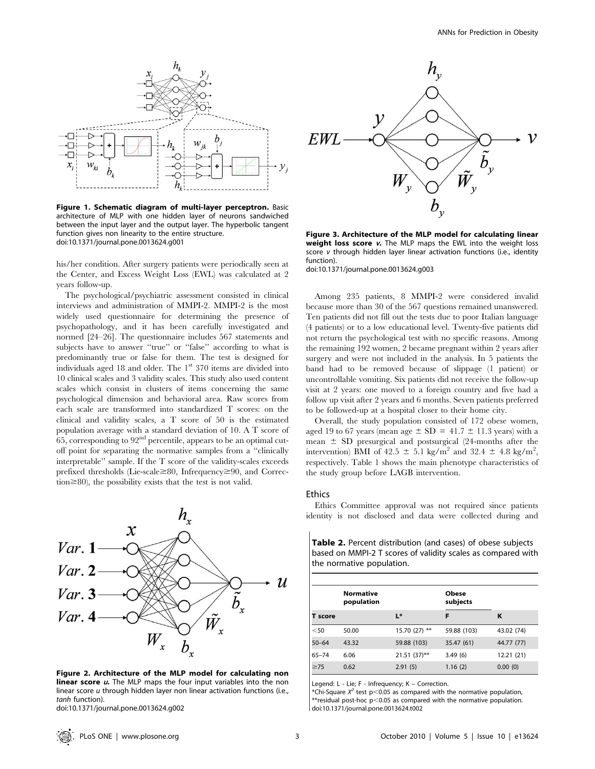

Figure 1. Schematic diagram of multi-layer perceptron. Basic architecture of MLP with one hidden layer of neurons sandwiched between the input layer and the output layer. The hyperbolic tangent function gives non linearity to the entire structure. doi:10.1371/journal.pone.0013624.g001

his/her condition. After surgery patients were periodically seen at the Center, and Excess Weight Loss (EWL) was calculated at 2 years follow-up.

The psychological/psychiatric assessment consisted in clinical interviews and administration of MMPI-2. MMPI-2 is the most widely used questionnaire for determining the presence of psychopathology, and it has been carefully investigated and normed [24–26]. The questionnaire includes 567 statements and subjects have to answer "true" or "false" according to what is predominantly true or false for them. The test is designed for individuals aged 18 and older. The  $1<sup>st</sup>$  370 items are divided into 10 clinical scales and 3 validity scales. This study also used content scales which consist in clusters of items concerning the same psychological dimension and behavioral area. Raw scores from each scale are transformed into standardized T scores: on the clinical and validity scales, a T score of 50 is the estimated population average with a standard deviation of 10. A T score of  $65$ , corresponding to  $92<sup>nd</sup>$  percentile, appears to be an optimal cutoff point for separating the normative samples from a ''clinically interpretable'' sample. If the T score of the validity-scales exceeds prefixed thresholds (Lie-scale $\geq 80$ , Infrequency  $\geq 90$ , and Correction $\geq$ 80), the possibility exists that the test is not valid.



Figure 2. Architecture of the MLP model for calculating non linear score u. The MLP maps the four input variables into the non linear score u through hidden layer non linear activation functions (i.e., tanh function).

doi:10.1371/journal.pone.0013624.g002



Figure 3. Architecture of the MLP model for calculating linear weight loss score v. The MLP maps the EWL into the weight loss score v through hidden layer linear activation functions (i.e., identity function).

doi:10.1371/journal.pone.0013624.g003

Among 235 patients, 8 MMPI-2 were considered invalid because more than 30 of the 567 questions remained unanswered. Ten patients did not fill out the tests due to poor Italian language (4 patients) or to a low educational level. Twenty-five patients did not return the psychological test with no specific reasons. Among the remaining 192 women, 2 became pregnant within 2 years after surgery and were not included in the analysis. In 5 patients the band had to be removed because of slippage (1 patient) or uncontrollable vomiting. Six patients did not receive the follow-up visit at 2 years: one moved to a foreign country and five had a follow up visit after 2 years and 6 months. Seven patients preferred to be followed-up at a hospital closer to their home city.

Overall, the study population consisted of 172 obese women, aged 19 to 67 years (mean age  $\pm$  SD = 41.7  $\pm$  11.3 years) with a mean  $\pm$  SD presurgical and postsurgical (24-months after the intervention) BMI of 42.5  $\pm$  5.1 kg/m<sup>2</sup> and 32.4  $\pm$  4.8 kg/m<sup>2</sup>, respectively. Table 1 shows the main phenotype characteristics of the study group before LAGB intervention.

#### Ethics

Ethics Committee approval was not required since patients identity is not disclosed and data were collected during and

Table 2. Percent distribution (and cases) of obese subjects based on MMPI-2 T scores of validity scales as compared with the normative population.

|           | <b>Normative</b><br>population |                | <b>Obese</b><br>subjects |            |
|-----------|--------------------------------|----------------|--------------------------|------------|
| T score   |                                | L <sup>*</sup> | F                        | Κ          |
| $50$      | 50.00                          | 15.70 (27) **  | 59.88 (103)              | 43.02 (74) |
| $50 - 64$ | 43.32                          | 59.88 (103)    | 35.47 (61)               | 44.77 (77) |
| $65 - 74$ | 6.06                           | 21.51 (37)**   | 3.49(6)                  | 12.21(21)  |
| $\geq 75$ | 0.62                           | 2.91(5)        | 1.16(2)                  | 0.00(0)    |

Legend: L - Lie; F - Infrequency; K – Correction.

\*Chi-Square  $X^2$  test p<0.05 as compared with the normative population,  $*$ residual post-hoc  $p<0.05$  as compared with the normative population. doi:10.1371/journal.pone.0013624.t002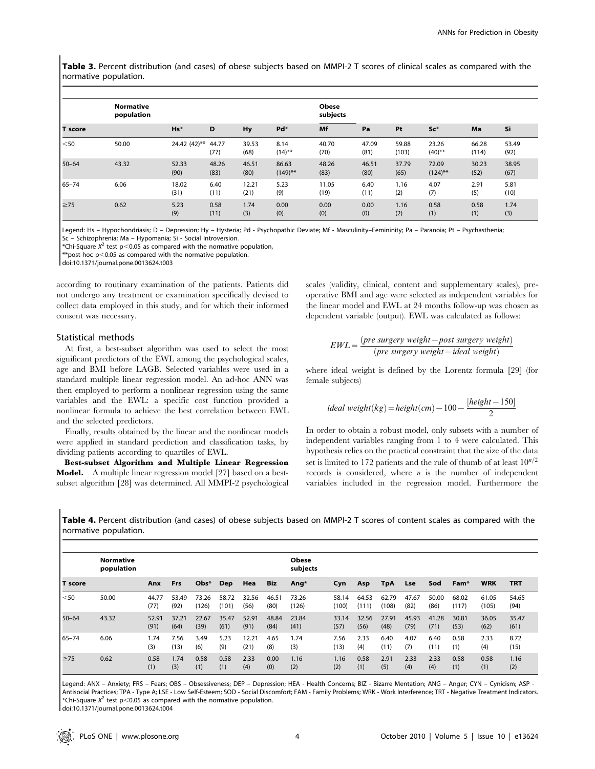Table 3. Percent distribution (and cases) of obese subjects based on MMPI-2 T scores of clinical scales as compared with the normative population.

|                | <b>Normative</b><br>population |                    |               |               |                     | <b>Obese</b><br>subjects |               |                |                     |                |               |
|----------------|--------------------------------|--------------------|---------------|---------------|---------------------|--------------------------|---------------|----------------|---------------------|----------------|---------------|
| <b>T</b> score |                                | $Hs*$              | D             | <b>Hy</b>     | Pd*                 | Mf                       | Pa            | Pt             | Sc*                 | Ma             | Si            |
| $50$           | 50.00                          | 24.42 (42)** 44.77 | (77)          | 39.53<br>(68) | 8.14<br>$(14)$ **   | 40.70<br>(70)            | 47.09<br>(81) | 59.88<br>(103) | 23.26<br>$(40)$ **  | 66.28<br>(114) | 53.49<br>(92) |
| 50-64          | 43.32                          | 52.33<br>(90)      | 48.26<br>(83) | 46.51<br>(80) | 86.63<br>$(149)$ ** | 48.26<br>(83)            | 46.51<br>(80) | 37.79<br>(65)  | 72.09<br>$(124)$ ** | 30.23<br>(52)  | 38.95<br>(67) |
| 65-74          | 6.06                           | 18.02<br>(31)      | 6.40<br>(11)  | 12.21<br>(21) | 5.23<br>(9)         | 11.05<br>(19)            | 6.40<br>(11)  | 1.16<br>(2)    | 4.07<br>(7)         | 2.91<br>(5)    | 5.81<br>(10)  |
| $\geq 75$      | 0.62                           | 5.23<br>(9)        | 0.58<br>(11)  | 1.74<br>(3)   | 0.00<br>(0)         | 0.00<br>(0)              | 0.00<br>(0)   | 1.16<br>(2)    | 0.58<br>(1)         | 0.58<br>(1)    | 1.74<br>(3)   |

Legend: Hs – Hypochondriasis; D – Depression; Hy – Hysteria; Pd - Psychopathic Deviate; Mf - Masculinity–Femininity; Pa – Paranoia; Pt – Psychasthenia; Sc – Schizophrenia; Ma – Hypomania; Si - Social Introversion.

\*Chi-Square  $X^2$  test p<0.05 as compared with the normative population,

 $*$ post-hoc  $p<$  0.05 as compared with the normative population.

doi:10.1371/journal.pone.0013624.t003

according to routinary examination of the patients. Patients did not undergo any treatment or examination specifically devised to collect data employed in this study, and for which their informed consent was necessary.

#### Statistical methods

At first, a best-subset algorithm was used to select the most significant predictors of the EWL among the psychological scales, age and BMI before LAGB. Selected variables were used in a standard multiple linear regression model. An ad-hoc ANN was then employed to perform a nonlinear regression using the same variables and the EWL: a specific cost function provided a nonlinear formula to achieve the best correlation between EWL and the selected predictors.

Finally, results obtained by the linear and the nonlinear models were applied in standard prediction and classification tasks, by dividing patients according to quartiles of EWL.

Best-subset Algorithm and Multiple Linear Regression Model. A multiple linear regression model [27] based on a bestsubset algorithm [28] was determined. All MMPI-2 psychological

scales (validity, clinical, content and supplementary scales), preoperative BMI and age were selected as independent variables for the linear model and EWL at 24 months follow-up was chosen as dependent variable (output). EWL was calculated as follows:

$$
EWL = \frac{(pre\ surgery\ weight - post\ surgery\ weight)}{(pre\ surgery\ weight - ideal\ weight)}
$$

where ideal weight is defined by the Lorentz formula [29] (for female subjects)

ideal weight(
$$
kg
$$
) = height( $cm$ ) – 100 –  $\frac{[height - 150]}{2}$ 

In order to obtain a robust model, only subsets with a number of independent variables ranging from 1 to 4 were calculated. This hypothesis relies on the practical constraint that the size of the data set is limited to 172 patients and the rule of thumb of at least  $10^{n/2}$ records is considered, where  $n$  is the number of independent variables included in the regression model. Furthermore the

Table 4. Percent distribution (and cases) of obese subjects based on MMPI-2 T scores of content scales as compared with the normative population.

|                | <b>Normative</b><br>population |               |               |                |                |               |               | <b>Obese</b><br>subjects |                |                |                |               |               |                  |                |               |
|----------------|--------------------------------|---------------|---------------|----------------|----------------|---------------|---------------|--------------------------|----------------|----------------|----------------|---------------|---------------|------------------|----------------|---------------|
| <b>T</b> score |                                | Anx           | <b>Frs</b>    | Obs*           | Dep            | Hea           | Biz           | Ang*                     | Cyn            | Asp            | TpA            | <b>Lse</b>    | Sod           | Fam <sup>*</sup> | <b>WRK</b>     | <b>TRT</b>    |
| $50$           | 50.00                          | 44.77<br>(77) | 53.49<br>(92) | 73.26<br>(126) | 58.72<br>(101) | 32.56<br>(56) | 46.51<br>(80) | 73.26<br>(126)           | 58.14<br>(100) | 64.53<br>(111) | 62.79<br>(108) | 47.67<br>(82) | 50.00<br>(86) | 68.02<br>(117)   | 61.05<br>(105) | 54.65<br>(94) |
| $50 - 64$      | 43.32                          | 52.91<br>(91) | 37.21<br>(64) | 22.67<br>(39)  | 35.47<br>(61)  | 52.91<br>(91) | 48.84<br>(84) | 23.84<br>(41)            | 33.14<br>(57)  | 32.56<br>(56)  | 27.91<br>(48)  | 45.93<br>(79) | 41.28<br>(71) | 30.81<br>(53)    | 36.05<br>(62)  | 35.47<br>(61) |
| $65 - 74$      | 6.06                           | 1.74<br>(3)   | 7.56<br>(13)  | 3.49<br>(6)    | 5.23<br>(9)    | 12.21<br>(21) | 4.65<br>(8)   | 1.74<br>(3)              | 7.56<br>(13)   | 2.33<br>(4)    | 6.40<br>(11)   | 4.07<br>(7)   | 6.40<br>(11)  | 0.58<br>(1)      | 2.33<br>(4)    | 8.72<br>(15)  |
| $\geq 75$      | 0.62                           | 0.58<br>(1)   | 1.74<br>(3)   | 0.58<br>(1)    | 0.58<br>(1)    | 2.33<br>(4)   | 0.00<br>(0)   | 1.16<br>(2)              | 1.16<br>(2)    | 0.58<br>(1)    | 2.91<br>(5)    | 2.33<br>(4)   | 2.33<br>(4)   | 0.58<br>(1)      | 0.58<br>(1)    | 1.16<br>(2)   |

Legend: ANX – Anxiety; FRS – Fears; OBS – Obsessiveness; DEP – Depression; HEA - Health Concerns; BIZ - Bizarre Mentation; ANG – Anger; CYN – Cynicism; ASP - Antisocial Practices; TPA - Type A; LSE - Low Self-Esteem; SOD - Social Discomfort; FAM - Family Problems; WRK - Work Interference; TRT - Negative Treatment Indicators. \*Chi-Square  $X^2$  test p<0.05 as compared with the normative population. doi:10.1371/journal.pone.0013624.t004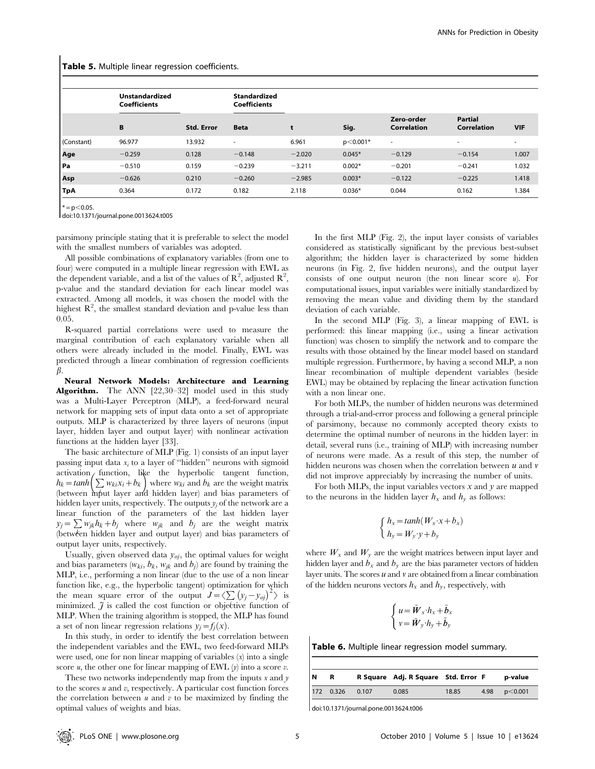#### Table 5. Multiple linear regression coefficients.

|            | <b>Unstandardized</b> |                   | <b>Standardized</b> |          |            |                                  |                                      |                          |
|------------|-----------------------|-------------------|---------------------|----------|------------|----------------------------------|--------------------------------------|--------------------------|
|            | <b>Coefficients</b>   |                   | <b>Coefficients</b> |          |            |                                  |                                      |                          |
|            | B                     | <b>Std. Error</b> | <b>Beta</b>         | t        | Sig.       | Zero-order<br><b>Correlation</b> | <b>Partial</b><br><b>Correlation</b> | <b>VIF</b>               |
| (Constant) | 96.977                | 13.932            | ٠                   | 6.961    | $p<0.001*$ | ٠                                | ÷.                                   | $\overline{\phantom{a}}$ |
| Age        | $-0.259$              | 0.128             | $-0.148$            | $-2.020$ | $0.045*$   | $-0.129$                         | $-0.154$                             | 1.007                    |
| Pa         | $-0.510$              | 0.159             | $-0.239$            | $-3.211$ | $0.002*$   | $-0.201$                         | $-0.241$                             | 1.032                    |
| Asp        | $-0.626$              | 0.210             | $-0.260$            | $-2.985$ | $0.003*$   | $-0.122$                         | $-0.225$                             | 1.418                    |
| TpA        | 0.364                 | 0.172             | 0.182               | 2.118    | $0.036*$   | 0.044                            | 0.162                                | 1.384                    |

 $* = p < 0.05$ .

doi:10.1371/journal.pone.0013624.t005

parsimony principle stating that it is preferable to select the model with the smallest numbers of variables was adopted.

All possible combinations of explanatory variables (from one to four) were computed in a multiple linear regression with EWL as the dependent variable, and a list of the values of  $\mathbb{R}^2$ , adjusted  $\mathbb{R}^2$ , p-value and the standard deviation for each linear model was extracted. Among all models, it was chosen the model with the highest  $\mathbb{R}^2$ , the smallest standard deviation and p-value less than 0.05.

R-squared partial correlations were used to measure the marginal contribution of each explanatory variable when all others were already included in the model. Finally, EWL was predicted through a linear combination of regression coefficients  $\beta$ .

Neural Network Models: Architecture and Learning Algorithm. The ANN [22,30-32] model used in this study was a Multi-Layer Perceptron (MLP), a feed-forward neural network for mapping sets of input data onto a set of appropriate outputs. MLP is characterized by three layers of neurons (input layer, hidden layer and output layer) with nonlinear activation functions at the hidden layer [33].

The basic architecture of MLP (Fig. 1) consists of an input layer passing input data  $x_i$  to a layer of "hidden" neurons with sigmoid  $\arctivation$  function, like the hyperbolic tangent function,  $h_k = \tanh\left(\sum w_{ki}x_i + b_k\right)$  where  $w_{ki}$  and  $b_k$  are the weight matrix (between mput layer and hidden layer) and bias parameters of hidden layer units, respectively. The outputs  $y_i$  of the network are a linear function of the parameters of the last hidden layer  $y_j = \sum w_{jk}h_k + b_j$  where  $w_{jk}$  and  $b_j$  are the weight matrix (between hidden layer and output layer) and bias parameters of output layer units, respectively.

Usually, given observed data  $y_{oj}$ , the optimal values for weight and bias parameters  $(w_{ki}, b_k, w_{jk})$  and  $b_i$ ) are found by training the MLP, i.e., performing a non linear (due to the use of a non linear function like, e.g., the hyperbolic tangent) optimization for which the mean square error of the output  $J = \langle \sum (y_j - y_{oj})^2 \rangle$  is minimized.  $\tilde{\jmath}$  is called the cost function or objective function of MLP. When the training algorithm is stopped, the MLP has found a set of non linear regression relations  $y_i = f_i(x)$ .

In this study, in order to identify the best correlation between the independent variables and the EWL, two feed-forward MLPs were used, one for non linear mapping of variables  $(x)$  into a single score  $u$ , the other one for linear mapping of EWL  $(y)$  into a score  $v$ .

These two networks independently map from the inputs  $x$  and  $y$ to the scores  $u$  and  $v$ , respectively. A particular cost function forces the correlation between  $u$  and  $v$  to be maximized by finding the optimal values of weights and bias.

In the first MLP (Fig. 2), the input layer consists of variables considered as statistically significant by the previous best-subset algorithm; the hidden layer is characterized by some hidden neurons (in Fig. 2, five hidden neurons), and the output layer consists of one output neuron (the non linear score u). For computational issues, input variables were initially standardized by removing the mean value and dividing them by the standard deviation of each variable.

In the second MLP (Fig. 3), a linear mapping of EWL is performed: this linear mapping (i.e., using a linear activation function) was chosen to simplify the network and to compare the results with those obtained by the linear model based on standard multiple regression. Furthermore, by having a second MLP, a non linear recombination of multiple dependent variables (beside EWL) may be obtained by replacing the linear activation function with a non linear one.

For both MLPs, the number of hidden neurons was determined through a trial-and-error process and following a general principle of parsimony, because no commonly accepted theory exists to determine the optimal number of neurons in the hidden layer: in detail, several runs (i.e., training of MLP) with increasing number of neurons were made. As a result of this step, the number of hidden neurons was chosen when the correlation between  $u$  and  $v$ did not improve appreciably by increasing the number of units.

For both MLPs, the input variables vectors  $x$  and  $y$  are mapped to the neurons in the hidden layer  $h_x$  and  $h_y$  as follows:

$$
\begin{cases}\nh_x = \tanh(W_x \cdot x + b_x) \\
h_y = W_y \cdot y + b_y\n\end{cases}
$$

where  $W_x$  and  $W_y$  are the weight matrices between input layer and hidden layer and  $b_x$  and  $b_y$  are the bias parameter vectors of hidden layer units. The scores  $u$  and  $v$  are obtained from a linear combination of the hidden neurons vectors  $h_x$  and  $h_y$ , respectively, with

$$
\begin{cases}\n u = \tilde{W}_x \cdot h_x + \tilde{b}_x \\
 v = \tilde{W}_y \cdot h_y + \tilde{b}_y\n\end{cases}
$$

Table 6. Multiple linear regression model summary.

| ١N | R          |       | R Square Adj. R Square Std. Error F |       |      | p-value   |
|----|------------|-------|-------------------------------------|-------|------|-----------|
|    | 172  0.326 | 0.107 | 0.085                               | 18.85 | 4.98 | p < 0.001 |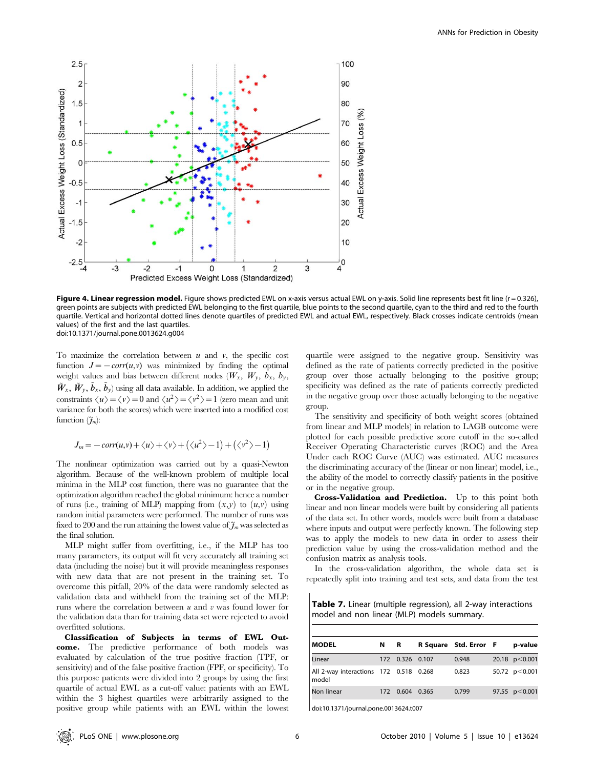

Figure 4. Linear regression model. Figure shows predicted EWL on x-axis versus actual EWL on y-axis. Solid line represents best fit line ( $r = 0.326$ ), green points are subjects with predicted EWL belonging to the first quartile, blue points to the second quartile, cyan to the third and red to the fourth quartile. Vertical and horizontal dotted lines denote quartiles of predicted EWL and actual EWL, respectively. Black crosses indicate centroids (mean values) of the first and the last quartiles. doi:10.1371/journal.pone.0013624.g004

To maximize the correlation between  $u$  and  $v$ , the specific cost function  $J=-corr(u,v)$  was minimized by finding the optimal weight values and bias between different nodes  $(W_x, W_y, b_x, b_y)$  $\tilde{W}_x$ ,  $\tilde{W}_y$ ,  $\tilde{b}_x$ ,  $\tilde{b}_y$ ) using all data available. In addition, we applied the constraints  $\langle u \rangle = \langle v \rangle = 0$  and  $\langle u^2 \rangle = \langle v^2 \rangle = 1$  (zero mean and unit variance for both the scores) which were inserted into a modified cost function  $(\mathcal{J}_m)$ :

$$
J_m = -\operatorname{corr}(u, v) + \langle u \rangle + \langle v \rangle + (\langle u^2 \rangle - 1) + (\langle v^2 \rangle - 1)
$$

The nonlinear optimization was carried out by a quasi-Newton algorithm. Because of the well-known problem of multiple local minima in the MLP cost function, there was no guarantee that the optimization algorithm reached the global minimum: hence a number of runs (i.e., training of MLP) mapping from  $(x, y)$  to  $(u, v)$  using random initial parameters were performed. The number of runs was fixed to 200 and the run attaining the lowest value of  $\mathcal{J}_m$  was selected as the final solution.

MLP might suffer from overfitting, i.e., if the MLP has too many parameters, its output will fit very accurately all training set data (including the noise) but it will provide meaningless responses with new data that are not present in the training set. To overcome this pitfall, 20% of the data were randomly selected as validation data and withheld from the training set of the MLP: runs where the correlation between  $u$  and  $v$  was found lower for the validation data than for training data set were rejected to avoid overfitted solutions.

Classification of Subjects in terms of EWL Outcome. The predictive performance of both models was evaluated by calculation of the true positive fraction (TPF, or sensitivity) and of the false positive fraction (FPF, or specificity). To this purpose patients were divided into 2 groups by using the first quartile of actual EWL as a cut-off value: patients with an EWL within the 3 highest quartiles were arbitrarily assigned to the positive group while patients with an EWL within the lowest quartile were assigned to the negative group. Sensitivity was defined as the rate of patients correctly predicted in the positive group over those actually belonging to the positive group; specificity was defined as the rate of patients correctly predicted in the negative group over those actually belonging to the negative group.

The sensitivity and specificity of both weight scores (obtained from linear and MLP models) in relation to LAGB outcome were plotted for each possible predictive score cutoff in the so-called Receiver Operating Characteristic curves (ROC) and the Area Under each ROC Curve (AUC) was estimated. AUC measures the discriminating accuracy of the (linear or non linear) model, i.e., the ability of the model to correctly classify patients in the positive or in the negative group.

Cross-Validation and Prediction. Up to this point both linear and non linear models were built by considering all patients of the data set. In other words, models were built from a database where inputs and output were perfectly known. The following step was to apply the models to new data in order to assess their prediction value by using the cross-validation method and the confusion matrix as analysis tools.

In the cross-validation algorithm, the whole data set is repeatedly split into training and test sets, and data from the test

Table 7. Linear (multiple regression), all 2-way interactions model and non linear (MLP) models summary.

| <b>MODEL</b>                                    | N R |                 | R Square Std. Error F | p-value           |
|-------------------------------------------------|-----|-----------------|-----------------------|-------------------|
| Linear                                          |     | 172 0.326 0.107 | 0.948                 | 20.18 $p < 0.001$ |
| All 2-way interactions 172 0.518 0.268<br>model |     |                 | 0.823                 | 50.72 p<0.001     |
| Non linear                                      |     | 172 0.604 0.365 | 0.799                 | 97.55 p<0.001     |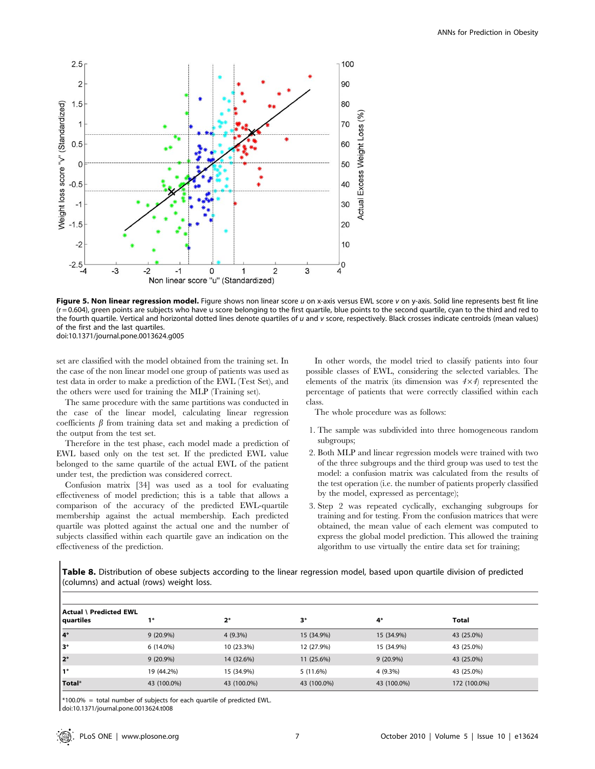

Figure 5. Non linear regression model. Figure shows non linear score u on x-axis versus EWL score v on y-axis. Solid line represents best fit line  $(r = 0.604)$ , green points are subjects who have u score belonging to the first quartile, blue points to the second quartile, cyan to the third and red to the fourth quartile. Vertical and horizontal dotted lines denote quartiles of u and v score, respectively. Black crosses indicate centroids (mean values) of the first and the last quartiles.

doi:10.1371/journal.pone.0013624.g005

set are classified with the model obtained from the training set. In the case of the non linear model one group of patients was used as test data in order to make a prediction of the EWL (Test Set), and the others were used for training the MLP (Training set).

The same procedure with the same partitions was conducted in the case of the linear model, calculating linear regression coefficients  $\beta$  from training data set and making a prediction of the output from the test set.

Therefore in the test phase, each model made a prediction of EWL based only on the test set. If the predicted EWL value belonged to the same quartile of the actual EWL of the patient under test, the prediction was considered correct.

Confusion matrix [34] was used as a tool for evaluating effectiveness of model prediction; this is a table that allows a comparison of the accuracy of the predicted EWL-quartile membership against the actual membership. Each predicted quartile was plotted against the actual one and the number of subjects classified within each quartile gave an indication on the effectiveness of the prediction.

In other words, the model tried to classify patients into four possible classes of EWL, considering the selected variables. The elements of the matrix (its dimension was  $4\times4$ ) represented the percentage of patients that were correctly classified within each class.

The whole procedure was as follows:

- 1. The sample was subdivided into three homogeneous random subgroups;
- 2. Both MLP and linear regression models were trained with two of the three subgroups and the third group was used to test the model: a confusion matrix was calculated from the results of the test operation (i.e. the number of patients properly classified by the model, expressed as percentage);
- 3. Step 2 was repeated cyclically, exchanging subgroups for training and for testing. From the confusion matrices that were obtained, the mean value of each element was computed to express the global model prediction. This allowed the training algorithm to use virtually the entire data set for training;

Table 8. Distribution of obese subjects according to the linear regression model, based upon quartile division of predicted (columns) and actual (rows) weight loss.

| <b>Actual \ Predicted EWL</b><br><b>quartiles</b> | 1°          | $2^{\circ}$ | $3^{\circ}$ | $4^\circ$   | Total        |
|---------------------------------------------------|-------------|-------------|-------------|-------------|--------------|
| $14^\circ$                                        | $9(20.9\%)$ | $4(9.3\%)$  | 15 (34.9%)  | 15 (34.9%)  | 43 (25.0%)   |
| l 3°                                              | $6(14.0\%)$ | 10 (23.3%)  | 12 (27.9%)  | 15 (34.9%)  | 43 (25.0%)   |
| l 2°                                              | $9(20.9\%)$ | 14 (32.6%)  | 11 (25.6%)  | $9(20.9\%)$ | 43 (25.0%)   |
| $1^{\circ}$                                       | 19 (44.2%)  | 15 (34.9%)  | 5 (11.6%)   | 4 (9.3%)    | 43 (25.0%)   |
| Total*                                            | 43 (100.0%) | 43 (100.0%) | 43 (100.0%) | 43 (100.0%) | 172 (100.0%) |

\*100.0% = total number of subjects for each quartile of predicted EWL. doi:10.1371/journal.pone.0013624.t008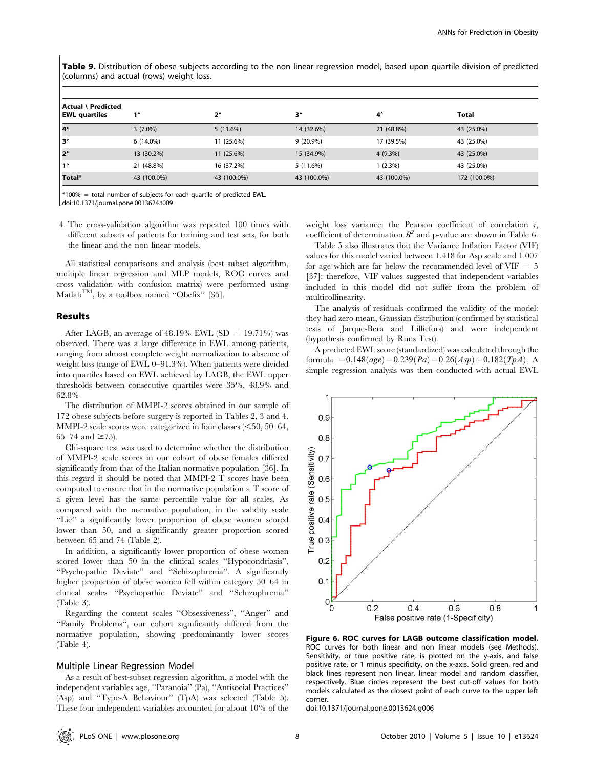Table 9. Distribution of obese subjects according to the non linear regression model, based upon quartile division of predicted (columns) and actual (rows) weight loss.

| <b>Actual \ Predicted</b><br><b>EWL</b> quartiles | 1°          | $2^{\circ}$ | $3^{\circ}$ | $4^\circ$   | Total        |
|---------------------------------------------------|-------------|-------------|-------------|-------------|--------------|
| l 4°                                              | $3(7.0\%)$  | 5(11.6%)    | 14 (32.6%)  | 21 (48.8%)  | 43 (25.0%)   |
| lз°                                               | $6(14.0\%)$ | 11 (25.6%)  | $9(20.9\%)$ | 17 (39.5%)  | 43 (25.0%)   |
| 2°                                                | 13 (30.2%)  | 11 (25.6%)  | 15 (34.9%)  | $4(9.3\%)$  | 43 (25.0%)   |
| $1^{\circ}$                                       | 21 (48.8%)  | 16 (37.2%)  | 5(11.6%)    | $1(2.3\%)$  | 43 (25.0%)   |
| Total*                                            | 43 (100.0%) | 43 (100.0%) | 43 (100.0%) | 43 (100.0%) | 172 (100.0%) |

\*100% = total number of subjects for each quartile of predicted EWL.

doi:10.1371/journal.pone.0013624.t009

4. The cross-validation algorithm was repeated 100 times with different subsets of patients for training and test sets, for both the linear and the non linear models.

All statistical comparisons and analysis (best subset algorithm, multiple linear regression and MLP models, ROC curves and cross validation with confusion matrix) were performed using Matlab<sup>TM</sup>, by a toolbox named "Obefix" [35].

# Results

After LAGB, an average of  $48.19\%$  EWL (SD = 19.71%) was observed. There was a large difference in EWL among patients, ranging from almost complete weight normalization to absence of weight loss (range of EWL 0–91.3%). When patients were divided into quartiles based on EWL achieved by LAGB, the EWL upper thresholds between consecutive quartiles were 35%, 48.9% and 62.8%

The distribution of MMPI-2 scores obtained in our sample of 172 obese subjects before surgery is reported in Tables 2, 3 and 4. MMPI-2 scale scores were categorized in four classes  $(<50, 50-64,$  $65-74$  and  $\geq 75$ ).

Chi-square test was used to determine whether the distribution of MMPI-2 scale scores in our cohort of obese females differed significantly from that of the Italian normative population [36]. In this regard it should be noted that MMPI-2 T scores have been computed to ensure that in the normative population a T score of a given level has the same percentile value for all scales. As compared with the normative population, in the validity scale "Lie" a significantly lower proportion of obese women scored lower than 50, and a significantly greater proportion scored between 65 and 74 (Table 2).

In addition, a significantly lower proportion of obese women scored lower than 50 in the clinical scales ''Hypocondriasis'', ''Psychopathic Deviate'' and ''Schizophrenia''. A significantly higher proportion of obese women fell within category 50–64 in clinical scales ''Psychopathic Deviate'' and ''Schizophrenia'' (Table 3).

Regarding the content scales ''Obsessiveness'', ''Anger'' and ''Family Problems'', our cohort significantly differed from the normative population, showing predominantly lower scores (Table 4).

#### Multiple Linear Regression Model

As a result of best-subset regression algorithm, a model with the independent variables age, ''Paranoia'' (Pa), ''Antisocial Practices'' (Asp) and ''Type-A Behaviour'' (TpA) was selected (Table 5). These four independent variables accounted for about 10% of the

weight loss variance: the Pearson coefficient of correlation  $r$ , coefficient of determination  $R^2$  and p-value are shown in Table 6.

Table 5 also illustrates that the Variance Inflation Factor (VIF) values for this model varied between 1.418 for Asp scale and 1.007 for age which are far below the recommended level of  $VIF = 5$ [37]: therefore, VIF values suggested that independent variables included in this model did not suffer from the problem of multicollinearity.

The analysis of residuals confirmed the validity of the model: they had zero mean, Gaussian distribution (confirmed by statistical tests of Jarque-Bera and Lilliefors) and were independent (hypothesis confirmed by Runs Test).

A predicted EWL score (standardized) was calculated through the formula  $-0.148(age) - 0.239(Pa) - 0.26(Asp) + 0.182(TpA)$ . A simple regression analysis was then conducted with actual EWL



Figure 6. ROC curves for LAGB outcome classification model. ROC curves for both linear and non linear models (see Methods). Sensitivity, or true positive rate, is plotted on the y-axis, and false positive rate, or 1 minus specificity, on the x-axis. Solid green, red and black lines represent non linear, linear model and random classifier, respectively. Blue circles represent the best cut-off values for both models calculated as the closest point of each curve to the upper left corner.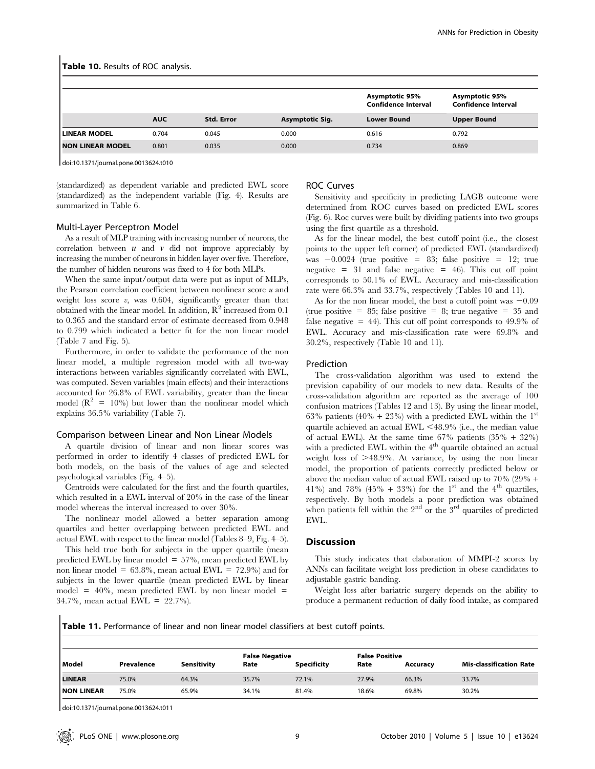|                         |            |                   |                        | <b>Asymptotic 95%</b><br><b>Confidence Interval</b> | <b>Asymptotic 95%</b><br><b>Confidence Interval</b> |
|-------------------------|------------|-------------------|------------------------|-----------------------------------------------------|-----------------------------------------------------|
|                         | <b>AUC</b> | <b>Std. Error</b> | <b>Asymptotic Sig.</b> | <b>Lower Bound</b>                                  | <b>Upper Bound</b>                                  |
| <b>LINEAR MODEL</b>     | 0.704      | 0.045             | 0.000                  | 0.616                                               | 0.792                                               |
| <b>NON LINEAR MODEL</b> | 0.801      | 0.035             | 0.000                  | 0.734                                               | 0.869                                               |

doi:10.1371/journal.pone.0013624.t010

Table 10. Results of ROC analysis.

(standardized) as dependent variable and predicted EWL score (standardized) as the independent variable (Fig. 4). Results are summarized in Table 6.

## Multi-Layer Perceptron Model

As a result of MLP training with increasing number of neurons, the correlation between  $u$  and  $v$  did not improve appreciably by increasing the number of neurons in hidden layer over five. Therefore, the number of hidden neurons was fixed to 4 for both MLPs.

When the same input/output data were put as input of MLPs, the Pearson correlation coefficient between nonlinear score u and weight loss score v, was  $0.604$ , significantly greater than that obtained with the linear model. In addition,  $\mathbb{R}^2$  increased from 0.1 to 0.365 and the standard error of estimate decreased from 0.948 to 0.799 which indicated a better fit for the non linear model (Table 7 and Fig. 5).

Furthermore, in order to validate the performance of the non linear model, a multiple regression model with all two-way interactions between variables significantly correlated with EWL, was computed. Seven variables (main effects) and their interactions accounted for 26.8% of EWL variability, greater than the linear model ( $\mathbb{R}^2 = 10\%$ ) but lower than the nonlinear model which explains 36.5% variability (Table 7).

#### Comparison between Linear and Non Linear Models

A quartile division of linear and non linear scores was performed in order to identify 4 classes of predicted EWL for both models, on the basis of the values of age and selected psychological variables (Fig. 4–5).

Centroids were calculated for the first and the fourth quartiles, which resulted in a EWL interval of 20% in the case of the linear model whereas the interval increased to over 30%.

The nonlinear model allowed a better separation among quartiles and better overlapping between predicted EWL and actual EWL with respect to the linear model (Tables 8–9, Fig. 4–5).

This held true both for subjects in the upper quartile (mean predicted EWL by linear model = 57%, mean predicted EWL by non linear model =  $63.8\%$ , mean actual EWL =  $72.9\%$ ) and for subjects in the lower quartile (mean predicted EWL by linear model =  $40\%$ , mean predicted EWL by non linear model = 34.7%, mean actual EWL = 22.7%).

# ROC Curves

Sensitivity and specificity in predicting LAGB outcome were determined from ROC curves based on predicted EWL scores (Fig. 6). Roc curves were built by dividing patients into two groups using the first quartile as a threshold.

As for the linear model, the best cutoff point (i.e., the closest points to the upper left corner) of predicted EWL (standardized) was  $-0.0024$  (true positive = 83; false positive = 12; true negative  $= 31$  and false negative  $= 46$ ). This cut off point corresponds to 50.1% of EWL. Accuracy and mis-classification rate were 66.3% and 33.7%, respectively (Tables 10 and 11).

As for the non linear model, the best u cutoff point was  $-0.09$ (true positive  $= 85$ ; false positive  $= 8$ ; true negative  $= 35$  and false negative  $= 44$ ). This cut off point corresponds to  $49.9\%$  of EWL. Accuracy and mis-classification rate were 69.8% and 30.2%, respectively (Table 10 and 11).

# Prediction

The cross-validation algorithm was used to extend the prevision capability of our models to new data. Results of the cross-validation algorithm are reported as the average of 100 confusion matrices (Tables 12 and 13). By using the linear model, 63% patients (40% + 23%) with a predicted EWL within the  $1<sup>st</sup>$ quartile achieved an actual EWL  $\leq 48.9\%$  (i.e., the median value of actual EWL). At the same time  $67\%$  patients  $(35\% + 32\%)$ with a predicted EWL within the 4<sup>th</sup> quartile obtained an actual weight loss of  $>48.9\%$ . At variance, by using the non linear model, the proportion of patients correctly predicted below or above the median value of actual EWL raised up to 70% (29% + 41%) and 78% (45% + 33%) for the 1<sup>st</sup> and the 4<sup>th</sup> quartiles, respectively. By both models a poor prediction was obtained when patients fell within the  $2<sup>nd</sup>$  or the  $3<sup>rd</sup>$  quartiles of predicted EWL.

# **Discussion**

This study indicates that elaboration of MMPI-2 scores by ANNs can facilitate weight loss prediction in obese candidates to adjustable gastric banding.

Weight loss after bariatric surgery depends on the ability to produce a permanent reduction of daily food intake, as compared

Table 11. Performance of linear and non linear model classifiers at best cutoff points.

|                   |            |             | <b>False Negative</b> |                    | <b>False Positive</b> |          |                                |
|-------------------|------------|-------------|-----------------------|--------------------|-----------------------|----------|--------------------------------|
| Model             | Prevalence | Sensitivity | Rate                  | <b>Specificity</b> | Rate                  | Accuracy | <b>Mis-classification Rate</b> |
| <b>LINEAR</b>     | 75.0%      | 64.3%       | 35.7%                 | 72.1%              | 27.9%                 | 66.3%    | 33.7%                          |
| <b>NON LINEAR</b> | 75.0%      | 65.9%       | 34.1%                 | 81.4%              | 18.6%                 | 69.8%    | 30.2%                          |
|                   |            |             |                       |                    |                       |          |                                |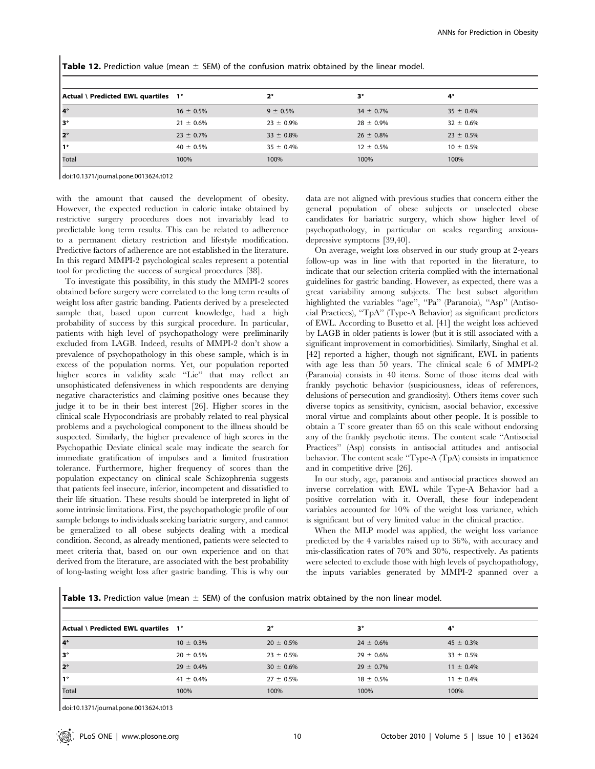| <b>Table 12.</b> Prediction value (mean $\pm$ SENI) of the confusion matrix obtained by the linear model. |                |                |                |                |  |  |  |  |  |
|-----------------------------------------------------------------------------------------------------------|----------------|----------------|----------------|----------------|--|--|--|--|--|
| Actual \ Predicted EWL quartiles 1°                                                                       |                | $2^{\circ}$    | з٠             | $4^\circ$      |  |  |  |  |  |
| °4ا                                                                                                       | $16 \pm 0.5\%$ | $9 \pm 0.5\%$  | $34 \pm 0.7\%$ | $35 \pm 0.4\%$ |  |  |  |  |  |
| lз°                                                                                                       | $21 \pm 0.6\%$ | $23 \pm 0.9\%$ | $28 \pm 0.9\%$ | $32 \pm 0.6\%$ |  |  |  |  |  |
| $ 2^{\circ}$                                                                                              | $23 \pm 0.7\%$ | $33 \pm 0.8\%$ | $26 \pm 0.8\%$ | $23 \pm 0.5\%$ |  |  |  |  |  |
| 10°                                                                                                       | $40 \pm 0.5\%$ | $35 \pm 0.4\%$ | $12 \pm 0.5\%$ | $10 \pm 0.5\%$ |  |  |  |  |  |
| Total                                                                                                     | 100%           | 100%           | 100%           | 100%           |  |  |  |  |  |

pfucion matrix obtained by the linear model

doi:10.1371/journal.pone.0013624.t012

with the amount that caused the development of obesity. However, the expected reduction in caloric intake obtained by restrictive surgery procedures does not invariably lead to predictable long term results. This can be related to adherence to a permanent dietary restriction and lifestyle modification. Predictive factors of adherence are not established in the literature. In this regard MMPI-2 psychological scales represent a potential tool for predicting the success of surgical procedures [38].

To investigate this possibility, in this study the MMPI-2 scores obtained before surgery were correlated to the long term results of weight loss after gastric banding. Patients derived by a preselected sample that, based upon current knowledge, had a high probability of success by this surgical procedure. In particular, patients with high level of psychopathology were preliminarily excluded from LAGB. Indeed, results of MMPI-2 don't show a prevalence of psychopathology in this obese sample, which is in excess of the population norms. Yet, our population reported higher scores in validity scale ''Lie'' that may reflect an unsophisticated defensiveness in which respondents are denying negative characteristics and claiming positive ones because they judge it to be in their best interest [26]. Higher scores in the clinical scale Hypocondriasis are probably related to real physical problems and a psychological component to the illness should be suspected. Similarly, the higher prevalence of high scores in the Psychopathic Deviate clinical scale may indicate the search for immediate gratification of impulses and a limited frustration tolerance. Furthermore, higher frequency of scores than the population expectancy on clinical scale Schizophrenia suggests that patients feel insecure, inferior, incompetent and dissatisfied to their life situation. These results should be interpreted in light of some intrinsic limitations. First, the psychopathologic profile of our sample belongs to individuals seeking bariatric surgery, and cannot be generalized to all obese subjects dealing with a medical condition. Second, as already mentioned, patients were selected to meet criteria that, based on our own experience and on that derived from the literature, are associated with the best probability of long-lasting weight loss after gastric banding. This is why our

data are not aligned with previous studies that concern either the general population of obese subjects or unselected obese candidates for bariatric surgery, which show higher level of psychopathology, in particular on scales regarding anxiousdepressive symptoms [39,40].

On average, weight loss observed in our study group at 2-years follow-up was in line with that reported in the literature, to indicate that our selection criteria complied with the international guidelines for gastric banding. However, as expected, there was a great variability among subjects. The best subset algorithm highlighted the variables "age", "Pa" (Paranoia), "Asp" (Antisocial Practices), ''TpA'' (Type-A Behavior) as significant predictors of EWL. According to Busetto et al. [41] the weight loss achieved by LAGB in older patients is lower (but it is still associated with a significant improvement in comorbidities). Similarly, Singhal et al. [42] reported a higher, though not significant, EWL in patients with age less than 50 years. The clinical scale 6 of MMPI-2 (Paranoia) consists in 40 items. Some of those items deal with frankly psychotic behavior (suspiciousness, ideas of references, delusions of persecution and grandiosity). Others items cover such diverse topics as sensitivity, cynicism, asocial behavior, excessive moral virtue and complaints about other people. It is possible to obtain a T score greater than 65 on this scale without endorsing any of the frankly psychotic items. The content scale ''Antisocial Practices'' (Asp) consists in antisocial attitudes and antisocial behavior. The content scale ''Type-A (TpA) consists in impatience and in competitive drive [26].

In our study, age, paranoia and antisocial practices showed an inverse correlation with EWL while Type-A Behavior had a positive correlation with it. Overall, these four independent variables accounted for 10% of the weight loss variance, which is significant but of very limited value in the clinical practice.

When the MLP model was applied, the weight loss variance predicted by the 4 variables raised up to 36%, with accuracy and mis-classification rates of 70% and 30%, respectively. As patients were selected to exclude those with high levels of psychopathology, the inputs variables generated by MMPI-2 spanned over a

**Table 13.** Prediction value (mean  $\pm$  SEM) of the confusion matrix obtained by the non linear model.

| Actual \ Predicted EWL quartiles 1° |                | $2^{\circ}$    | $3^{\circ}$    | $4^\circ$      |
|-------------------------------------|----------------|----------------|----------------|----------------|
| l 4°                                | $10 \pm 0.3\%$ | $20 \pm 0.5\%$ | $24 \pm 0.6\%$ | $45 \pm 0.3\%$ |
| lз°                                 | $20 \pm 0.5\%$ | $23 \pm 0.5\%$ | $29 \pm 0.6\%$ | $33 \pm 0.5\%$ |
| l 2°                                | $29 \pm 0.4\%$ | $30 \pm 0.6\%$ | $29 \pm 0.7\%$ | $11 \pm 0.4\%$ |
| l 1°                                | $41 \pm 0.4\%$ | $27 \pm 0.5\%$ | $18 \pm 0.5\%$ | $11 \pm 0.4\%$ |
| Total                               | 100%           | 100%           | 100%           | 100%           |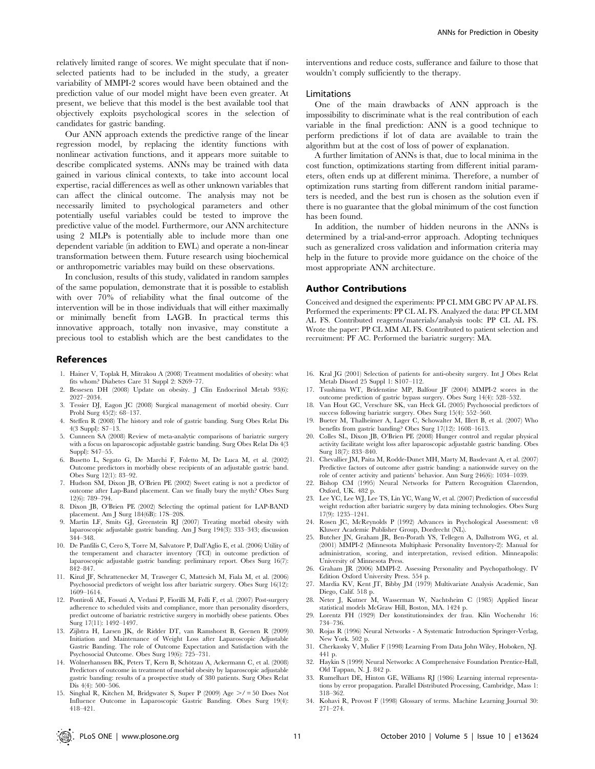relatively limited range of scores. We might speculate that if nonselected patients had to be included in the study, a greater variability of MMPI-2 scores would have been obtained and the prediction value of our model might have been even greater. At present, we believe that this model is the best available tool that objectively exploits psychological scores in the selection of candidates for gastric banding.

Our ANN approach extends the predictive range of the linear regression model, by replacing the identity functions with nonlinear activation functions, and it appears more suitable to describe complicated systems. ANNs may be trained with data gained in various clinical contexts, to take into account local expertise, racial differences as well as other unknown variables that can affect the clinical outcome. The analysis may not be necessarily limited to psychological parameters and other potentially useful variables could be tested to improve the predictive value of the model. Furthermore, our ANN architecture using 2 MLPs is potentially able to include more than one dependent variable (in addition to EWL) and operate a non-linear transformation between them. Future research using biochemical or anthropometric variables may build on these observations.

In conclusion, results of this study, validated in random samples of the same population, demonstrate that it is possible to establish with over 70% of reliability what the final outcome of the intervention will be in those individuals that will either maximally or minimally benefit from LAGB. In practical terms this innovative approach, totally non invasive, may constitute a precious tool to establish which are the best candidates to the

#### References

- 1. Hainer V, Toplak H, Mitrakou A (2008) Treatment modalities of obesity: what fits whom? Diabetes Care 31 Suppl 2: S269–77.
- 2. Bessesen DH (2008) Update on obesity. J Clin Endocrinol Metab 93(6): 2027–2034.
- 3. Tessier DJ, Eagon JC (2008) Surgical management of morbid obesity. Curr Probl Surg 45(2): 68–137.
- 4. Steffen R (2008) The history and role of gastric banding. Surg Obes Relat Dis 4(3 Suppl): S7–13.
- 5. Cunneen SA (2008) Review of meta-analytic comparisons of bariatric surgery with a focus on laparoscopic adjustable gastric banding. Surg Obes Relat Dis 4(3 Suppl): S47–55.
- 6. Busetto L, Segato G, De Marchi F, Foletto M, De Luca M, et al. (2002) Outcome predictors in morbidly obese recipients of an adjustable gastric band. Obes Surg 12(1): 83–92.
- 7. Hudson SM, Dixon JB, O'Brien PE (2002) Sweet eating is not a predictor of outcome after Lap-Band placement. Can we finally bury the myth? Obes Surg 12(6): 789–794.
- 8. Dixon JB, O'Brien PE (2002) Selecting the optimal patient for LAP-BAND placement. Am J Surg 184(6B): 17S–20S.
- 9. Martin LF, Smits GJ, Greenstein RJ (2007) Treating morbid obesity with laparoscopic adjustable gastric banding. Am J Surg 194(3): 333–343; discussion 344–348.
- 10. De Panfilis C, Cero S, Torre M, Salvatore P, Dall'Aglio E, et al. (2006) Utility of the temperament and character inventory (TCI) in outcome prediction of laparoscopic adjustable gastric banding: preliminary report. Obes Surg 16(7): 842–847.
- 11. Kinzl JF, Schrattenecker M, Traweger C, Mattesich M, Fiala M, et al. (2006) Psychosocial predictors of weight loss after bariatric surgery. Obes Surg 16(12): 1609–1614.
- 12. Pontiroli AE, Fossati A, Vedani P, Fiorilli M, Folli F, et al. (2007) Post-surgery adherence to scheduled visits and compliance, more than personality disorders, predict outcome of bariatric restrictive surgery in morbidly obese patients. Obes Surg 17(11): 1492–1497.
- 13. Zijlstra H, Larsen JK, de Ridder DT, van Ramshorst B, Geenen R (2009) Initiation and Maintenance of Weight Loss after Laparoscopic Adjustable Gastric Banding. The role of Outcome Expectation and Satisfaction with the Psychosocial Outcome. Obes Surg 19(6): 725–731.
- 14. Wölnerhanssen BK, Peters T, Kern B, Schötzau A, Ackermann C, et al. (2008) Predictors of outcome in treatment of morbid obesity by laparoscopic adjustable gastric banding: results of a prospective study of 380 patients. Surg Obes Relat Dis 4(4): 500–506.
- 15. Singhal R, Kitchen M, Bridgwater S, Super P (2009) Age  $\ge$  / = 50 Does Not Influence Outcome in Laparoscopic Gastric Banding. Obes Surg 19(4): 418–421.

interventions and reduce costs, sufferance and failure to those that wouldn't comply sufficiently to the therapy.

#### Limitations

One of the main drawbacks of ANN approach is the impossibility to discriminate what is the real contribution of each variable in the final prediction: ANN is a good technique to perform predictions if lot of data are available to train the algorithm but at the cost of loss of power of explanation.

A further limitation of ANNs is that, due to local minima in the cost function, optimizations starting from different initial parameters, often ends up at different minima. Therefore, a number of optimization runs starting from different random initial parameters is needed, and the best run is chosen as the solution even if there is no guarantee that the global minimum of the cost function has been found.

In addition, the number of hidden neurons in the ANNs is determined by a trial-and-error approach. Adopting techniques such as generalized cross validation and information criteria may help in the future to provide more guidance on the choice of the most appropriate ANN architecture.

#### Author Contributions

Conceived and designed the experiments: PP CL MM GBC PV AP AL FS. Performed the experiments: PP CL AL FS. Analyzed the data: PP CL MM AL FS. Contributed reagents/materials/analysis tools: PP CL AL FS. Wrote the paper: PP CL MM AL FS. Contributed to patient selection and recruitment: PF AC. Performed the bariatric surgery: MA.

- 16. Kral JG (2001) Selection of patients for anti-obesity surgery. Int J Obes Relat Metab Disord 25 Suppl 1: S107–112.
- 17. Tsushima WT, Bridenstine MP, Balfour JF (2004) MMPI-2 scores in the outcome prediction of gastric bypass surgery. Obes Surg 14(4): 528–532.
- 18. Van Hout GC, Verschure SK, van Heck GL (2005) Psychosocial predictors of success following bariatric surgery. Obes Surg 15(4): 552–560.
- 19. Bueter M, Thalheimer A, Lager C, Schowalter M, Illert B, et al. (2007) Who benefits from gastric banding? Obes Surg 17(12): 1608–1613.
- 20. Colles SL, Dixon JB, O'Brien PE (2008) Hunger control and regular physical activity facilitate weight loss after laparoscopic adjustable gastric banding. Obes Surg 18(7): 833–840.
- 21. Chevallier JM, Paita M, Rodde-Dunet MH, Marty M, Basdevant A, et al. (2007) Predictive factors of outcome after gastric banding: a nationwide survey on the role of center activity and patients' behavior. Ann Surg 246(6): 1034–1039.
- 22. Bishop CM (1995) Neural Networks for Pattern Recognition Clarendon, Oxford, UK. 482 p.
- 23. Lee YC, Lee WJ, Lee TS, Lin YC, Wang W, et al. (2007) Prediction of successful weight reduction after bariatric surgery by data mining technologies. Obes Surg 17(9): 1235–1241.
- 24. Rosen JC, McReynolds P (1992) Advances in Psychological Assessment: v8 Kluwer Academic Publisher Group, Dordrecht (NL).
- 25. Butcher JN, Graham JR, Ben-Porath YS, Tellegen A, Dalhstrom WG, et al. (2001) MMPI-2 (Minnesota Multiphasic Personality Inventory-2): Manual for administration, scoring, and interpretation, revised edition. Minneapolis: University of Minnesota Press.
- 26. Graham JR (2006) MMPI-2. Assessing Personality and Psychopathology. IV Edition Oxford University Press. 554 p.
- 27. Mardia KV, Kent JT, Bibby JM (1979) Multivariate Analysis Academic, San Diego, Calif. 518 p.
- 28. Neter J, Kutner M, Wasserman W, Nachtsheim C (1985) Applied linear statistical models McGraw Hill, Boston, MA. 1424 p.
- 29. Lorentz FH (1929) Der konstitutionsindex der frau. Klin Wochenshr 16: 734–736.
- 30. Rojas R (1996) Neural Networks A Systematic Introduction Springer-Verlag, New York. 502 p.
- 31. Cherkassky V, Mulier F (1998) Learning From Data John Wiley, Hoboken, NJ. 441 p.
- 32. Haykin S (1999) Neural Networks: A Comprehensive Foundation Prentice-Hall, Old Tappan, N. J. 842 p.
- 33. Rumelhart DE, Hinton GE, Williams RJ (1986) Learning internal representations by error propagation. Parallel Distributed Processing, Cambridge, Mass 1: 318–362.
- 34. Kohavi R, Provost F (1998) Glossary of terms. Machine Learning Journal 30: 271–274.